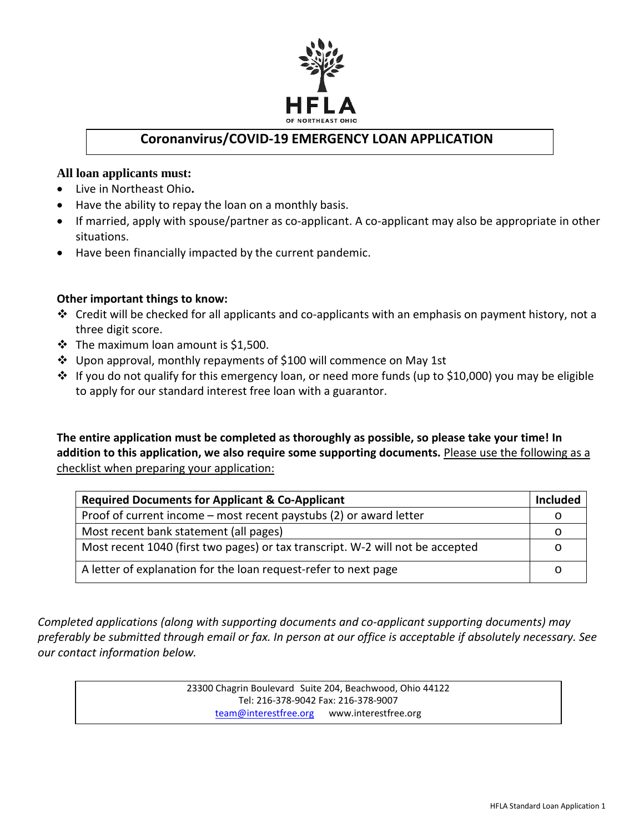

# **Coronanvirus/COVID-19 EMERGENCY LOAN APPLICATION**

## **All loan applicants must:**

- Live in Northeast Ohio**.**
- Have the ability to repay the loan on a monthly basis.
- If married, apply with spouse/partner as co-applicant. A co-applicant may also be appropriate in other situations.
- Have been financially impacted by the current pandemic.

### **Other important things to know:**

- $\cdot$  Credit will be checked for all applicants and co-applicants with an emphasis on payment history, not a three digit score.
- $\cdot \cdot$  The maximum loan amount is \$1,500.
- Upon approval, monthly repayments of \$100 will commence on May 1st
- If you do not qualify for this emergency loan, or need more funds (up to \$10,000) you may be eligible to apply for our standard interest free loan with a guarantor.

**The entire application must be completed as thoroughly as possible, so please take your time! In addition to this application, we also require some supporting documents.** Please use the following as a checklist when preparing your application:

| <b>Required Documents for Applicant &amp; Co-Applicant</b>                     | <b>Included</b> |
|--------------------------------------------------------------------------------|-----------------|
| Proof of current income – most recent paystubs (2) or award letter             |                 |
| Most recent bank statement (all pages)                                         | C               |
| Most recent 1040 (first two pages) or tax transcript. W-2 will not be accepted |                 |
| A letter of explanation for the loan request-refer to next page                |                 |

*Completed applications (along with supporting documents and co-applicant supporting documents) may preferably be submitted through email or fax. In person at our office is acceptable if absolutely necessary. See our contact information below.*

> 23300 Chagrin Boulevard Suite 204, Beachwood, Ohio 44122 Tel: 216-378-9042 Fax: 216-378-9007 [team@interestfree.org](mailto:team@interestfree.org) www.interestfree.org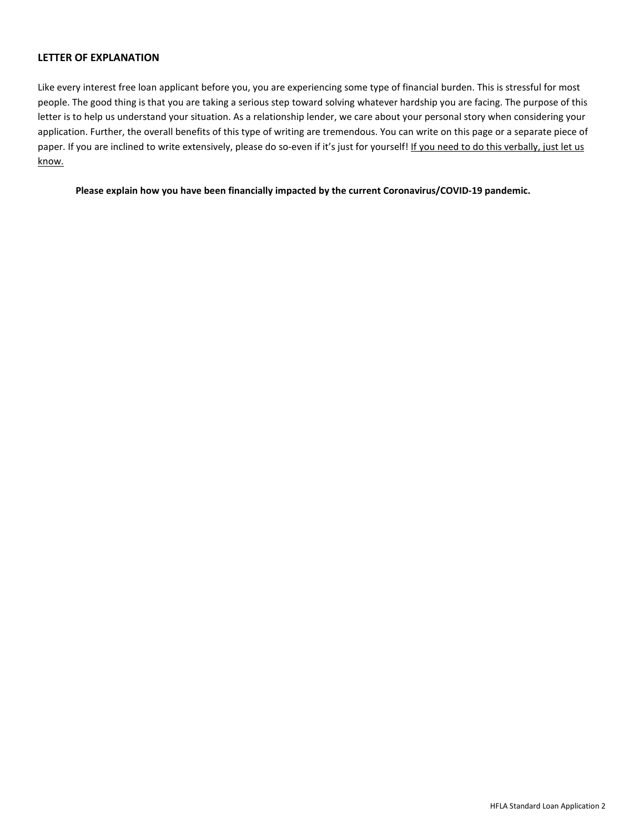#### **LETTER OF EXPLANATION**

Like every interest free loan applicant before you, you are experiencing some type of financial burden. This is stressful for most people. The good thing is that you are taking a serious step toward solving whatever hardship you are facing. The purpose of this letter is to help us understand your situation. As a relationship lender, we care about your personal story when considering your application. Further, the overall benefits of this type of writing are tremendous. You can write on this page or a separate piece of paper. If you are inclined to write extensively, please do so-even if it's just for yourself! If you need to do this verbally, just let us know.

**Please explain how you have been financially impacted by the current Coronavirus/COVID-19 pandemic.**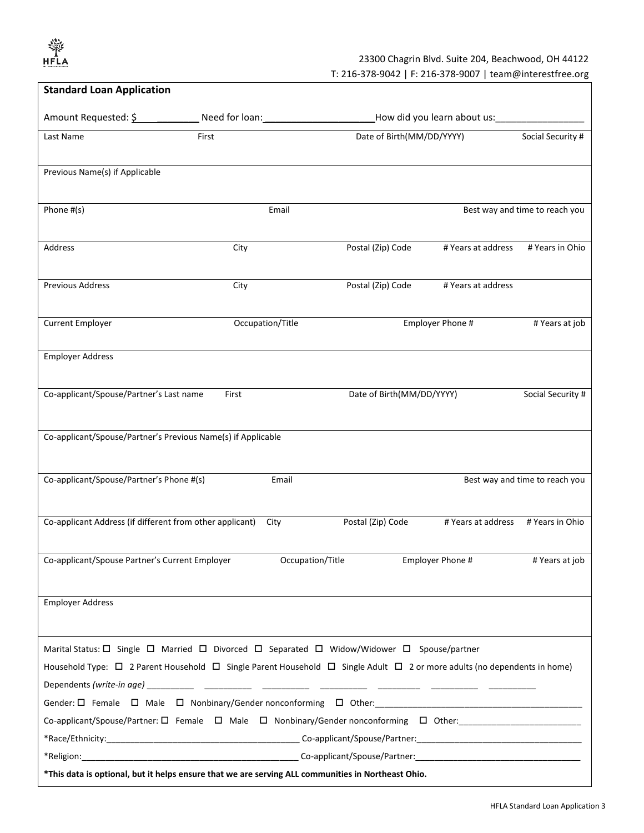HFLA

## 23300 Chagrin Blvd. Suite 204, Beachwood, OH 44122

T: 216-378-9042 | F: 216-378-9007 | team@interestfree.org

| <b>Standard Loan Application</b>                                                                                                             |       |                  |                           |                             |                                |
|----------------------------------------------------------------------------------------------------------------------------------------------|-------|------------------|---------------------------|-----------------------------|--------------------------------|
| Amount Requested: \$ Need for loan:                                                                                                          |       |                  |                           | How did you learn about us: |                                |
| Last Name                                                                                                                                    | First |                  | Date of Birth(MM/DD/YYYY) |                             | Social Security #              |
|                                                                                                                                              |       |                  |                           |                             |                                |
| Previous Name(s) if Applicable                                                                                                               |       |                  |                           |                             |                                |
|                                                                                                                                              |       |                  |                           |                             |                                |
| Phone #(s)                                                                                                                                   |       | Email            |                           |                             | Best way and time to reach you |
|                                                                                                                                              |       |                  |                           |                             |                                |
| Address                                                                                                                                      | City  |                  | Postal (Zip) Code         | # Years at address          | # Years in Ohio                |
|                                                                                                                                              |       |                  |                           |                             |                                |
| <b>Previous Address</b>                                                                                                                      | City  |                  | Postal (Zip) Code         | # Years at address          |                                |
|                                                                                                                                              |       |                  |                           |                             |                                |
| <b>Current Employer</b>                                                                                                                      |       | Occupation/Title |                           | Employer Phone #            | # Years at job                 |
|                                                                                                                                              |       |                  |                           |                             |                                |
| <b>Employer Address</b>                                                                                                                      |       |                  |                           |                             |                                |
|                                                                                                                                              |       |                  |                           |                             |                                |
| Co-applicant/Spouse/Partner's Last name                                                                                                      | First |                  | Date of Birth(MM/DD/YYYY) |                             | Social Security #              |
|                                                                                                                                              |       |                  |                           |                             |                                |
| Co-applicant/Spouse/Partner's Previous Name(s) if Applicable                                                                                 |       |                  |                           |                             |                                |
|                                                                                                                                              |       |                  |                           |                             |                                |
| Co-applicant/Spouse/Partner's Phone #(s)                                                                                                     |       | Email            |                           |                             | Best way and time to reach you |
|                                                                                                                                              |       |                  |                           |                             |                                |
| Co-applicant Address (if different from other applicant)                                                                                     |       | City             | Postal (Zip) Code         | # Years at address          | # Years in Ohio                |
|                                                                                                                                              |       |                  |                           |                             |                                |
| Co-applicant/Spouse Partner's Current Employer                                                                                               |       | Occupation/Title |                           | Employer Phone #            | # Years at job                 |
|                                                                                                                                              |       |                  |                           |                             |                                |
|                                                                                                                                              |       |                  |                           |                             |                                |
| <b>Employer Address</b>                                                                                                                      |       |                  |                           |                             |                                |
|                                                                                                                                              |       |                  |                           |                             |                                |
| Marital Status: □ Single □ Married □ Divorced □ Separated □ Widow/Widower □ Spouse/partner                                                   |       |                  |                           |                             |                                |
| Household Type: $\Box$ 2 Parent Household $\Box$ Single Parent Household $\Box$ Single Adult $\Box$ 2 or more adults (no dependents in home) |       |                  |                           |                             |                                |
|                                                                                                                                              |       |                  |                           |                             |                                |
|                                                                                                                                              |       |                  |                           |                             |                                |
|                                                                                                                                              |       |                  |                           |                             |                                |
|                                                                                                                                              |       |                  |                           |                             |                                |
|                                                                                                                                              |       |                  |                           |                             |                                |
| *This data is optional, but it helps ensure that we are serving ALL communities in Northeast Ohio.                                           |       |                  |                           |                             |                                |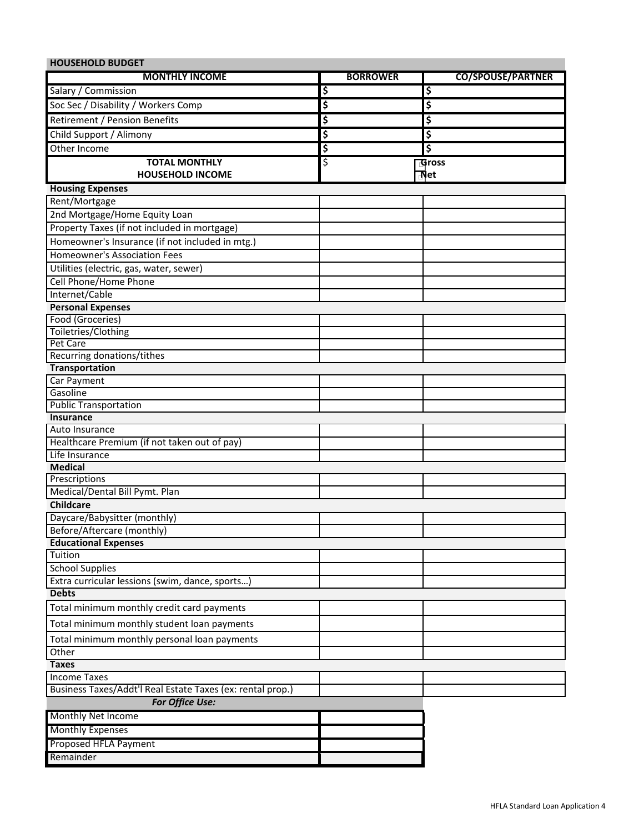| <b>HOUSEHOLD BUDGET</b>                                    |                                      |                          |
|------------------------------------------------------------|--------------------------------------|--------------------------|
| <b>MONTHLY INCOME</b>                                      | <b>BORROWER</b>                      | <b>CO/SPOUSE/PARTNER</b> |
| Salary / Commission                                        | \$                                   | \$                       |
| Soc Sec / Disability / Workers Comp                        | \$                                   | \$                       |
| Retirement / Pension Benefits                              | \$                                   | \$                       |
| Child Support / Alimony                                    | $\overline{\boldsymbol{\mathsf{s}}}$ | \$                       |
| Other Income                                               | \$                                   | \$                       |
| <b>TOTAL MONTHLY</b>                                       | \$                                   | <b>TGross</b>            |
| <b>HOUSEHOLD INCOME</b>                                    |                                      | 교t                       |
| <b>Housing Expenses</b>                                    |                                      |                          |
| Rent/Mortgage                                              |                                      |                          |
| 2nd Mortgage/Home Equity Loan                              |                                      |                          |
| Property Taxes (if not included in mortgage)               |                                      |                          |
| Homeowner's Insurance (if not included in mtg.)            |                                      |                          |
| <b>Homeowner's Association Fees</b>                        |                                      |                          |
| Utilities (electric, gas, water, sewer)                    |                                      |                          |
| Cell Phone/Home Phone                                      |                                      |                          |
| Internet/Cable                                             |                                      |                          |
| <b>Personal Expenses</b>                                   |                                      |                          |
| Food (Groceries)                                           |                                      |                          |
| Toiletries/Clothing                                        |                                      |                          |
| Pet Care                                                   |                                      |                          |
| Recurring donations/tithes                                 |                                      |                          |
| Transportation                                             |                                      |                          |
| Car Payment                                                |                                      |                          |
| Gasoline<br><b>Public Transportation</b>                   |                                      |                          |
| <b>Insurance</b>                                           |                                      |                          |
| Auto Insurance                                             |                                      |                          |
| Healthcare Premium (if not taken out of pay)               |                                      |                          |
| Life Insurance                                             |                                      |                          |
| <b>Medical</b>                                             |                                      |                          |
| Prescriptions                                              |                                      |                          |
| Medical/Dental Bill Pymt. Plan                             |                                      |                          |
| <b>Childcare</b>                                           |                                      |                          |
| Daycare/Babysitter (monthly)                               |                                      |                          |
| Before/Aftercare (monthly)                                 |                                      |                          |
| <b>Educational Expenses</b>                                |                                      |                          |
| Tuition                                                    |                                      |                          |
| <b>School Supplies</b>                                     |                                      |                          |
| Extra curricular lessions (swim, dance, sports)            |                                      |                          |
| <b>Debts</b>                                               |                                      |                          |
| Total minimum monthly credit card payments                 |                                      |                          |
| Total minimum monthly student loan payments                |                                      |                          |
| Total minimum monthly personal loan payments               |                                      |                          |
| Other                                                      |                                      |                          |
| <b>Taxes</b>                                               |                                      |                          |
| <b>Income Taxes</b>                                        |                                      |                          |
| Business Taxes/Addt'l Real Estate Taxes (ex: rental prop.) |                                      |                          |
| For Office Use:                                            |                                      |                          |
| Monthly Net Income                                         |                                      |                          |
| <b>Monthly Expenses</b>                                    |                                      |                          |
| Proposed HFLA Payment                                      |                                      |                          |
| Remainder                                                  |                                      |                          |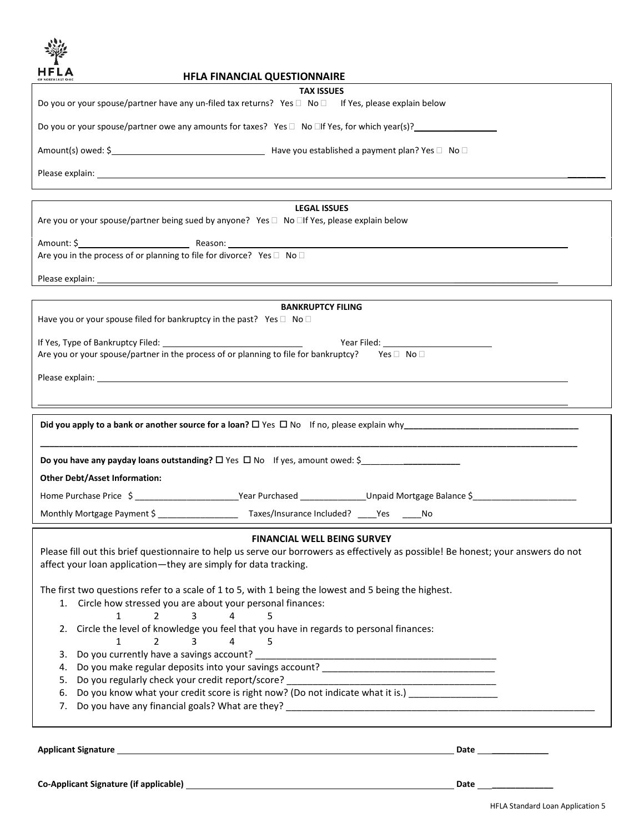

## **HFLA FINANCIAL QUESTIONNAIRE**

| OF NORTHEAST OHIO                                                                                                                                                                                                                                                                                                                           | <b>HFLA FINANCIAL QUESTIONNAIRE</b>                                                                 |                                                                                                                                          |  |  |
|---------------------------------------------------------------------------------------------------------------------------------------------------------------------------------------------------------------------------------------------------------------------------------------------------------------------------------------------|-----------------------------------------------------------------------------------------------------|------------------------------------------------------------------------------------------------------------------------------------------|--|--|
|                                                                                                                                                                                                                                                                                                                                             | <b>TAX ISSUES</b>                                                                                   |                                                                                                                                          |  |  |
| Do you or your spouse/partner have any un-filed tax returns? Yes □ No □ If Yes, please explain below                                                                                                                                                                                                                                        |                                                                                                     |                                                                                                                                          |  |  |
| Do you or your spouse/partner owe any amounts for taxes? Yes $\Box$ No $\Box$ if Yes, for which year(s)?                                                                                                                                                                                                                                    |                                                                                                     |                                                                                                                                          |  |  |
|                                                                                                                                                                                                                                                                                                                                             |                                                                                                     |                                                                                                                                          |  |  |
|                                                                                                                                                                                                                                                                                                                                             |                                                                                                     |                                                                                                                                          |  |  |
|                                                                                                                                                                                                                                                                                                                                             |                                                                                                     |                                                                                                                                          |  |  |
|                                                                                                                                                                                                                                                                                                                                             | <b>LEGAL ISSUES</b>                                                                                 |                                                                                                                                          |  |  |
| Are you or your spouse/partner being sued by anyone? Yes □ No □If Yes, please explain below                                                                                                                                                                                                                                                 |                                                                                                     |                                                                                                                                          |  |  |
|                                                                                                                                                                                                                                                                                                                                             |                                                                                                     |                                                                                                                                          |  |  |
| Are you in the process of or planning to file for divorce? Yes □ No □                                                                                                                                                                                                                                                                       |                                                                                                     |                                                                                                                                          |  |  |
|                                                                                                                                                                                                                                                                                                                                             |                                                                                                     |                                                                                                                                          |  |  |
|                                                                                                                                                                                                                                                                                                                                             |                                                                                                     |                                                                                                                                          |  |  |
|                                                                                                                                                                                                                                                                                                                                             | <b>BANKRUPTCY FILING</b>                                                                            |                                                                                                                                          |  |  |
| Have you or your spouse filed for bankruptcy in the past? Yes $\square$ No $\square$                                                                                                                                                                                                                                                        |                                                                                                     |                                                                                                                                          |  |  |
| If Yes, Type of Bankruptcy Filed: North States and States and States and States and States and States and States and States and States and States and States and States and States and States and States and States and States<br>Are you or your spouse/partner in the process of or planning to file for bankruptcy? Yes $\Box$ No $\Box$ |                                                                                                     |                                                                                                                                          |  |  |
|                                                                                                                                                                                                                                                                                                                                             |                                                                                                     |                                                                                                                                          |  |  |
|                                                                                                                                                                                                                                                                                                                                             |                                                                                                     |                                                                                                                                          |  |  |
|                                                                                                                                                                                                                                                                                                                                             |                                                                                                     | <u> 1989 - Johann Stoff, deutscher Stoffen und der Stoffen und der Stoffen und der Stoffen und der Stoffen und de</u>                    |  |  |
|                                                                                                                                                                                                                                                                                                                                             |                                                                                                     |                                                                                                                                          |  |  |
|                                                                                                                                                                                                                                                                                                                                             |                                                                                                     |                                                                                                                                          |  |  |
| Do you have any payday loans outstanding? $\Box$ Yes $\Box$ No If yes, amount owed: \$                                                                                                                                                                                                                                                      |                                                                                                     |                                                                                                                                          |  |  |
| <b>Other Debt/Asset Information:</b>                                                                                                                                                                                                                                                                                                        |                                                                                                     |                                                                                                                                          |  |  |
|                                                                                                                                                                                                                                                                                                                                             |                                                                                                     | Home Purchase Price \$ ______________________________Year Purchased _______________Unpaid Mortgage Balance \$ __________________________ |  |  |
|                                                                                                                                                                                                                                                                                                                                             |                                                                                                     |                                                                                                                                          |  |  |
|                                                                                                                                                                                                                                                                                                                                             |                                                                                                     |                                                                                                                                          |  |  |
|                                                                                                                                                                                                                                                                                                                                             | <b>FINANCIAL WELL BEING SURVEY</b>                                                                  |                                                                                                                                          |  |  |
|                                                                                                                                                                                                                                                                                                                                             |                                                                                                     | Please fill out this brief questionnaire to help us serve our borrowers as effectively as possible! Be honest; your answers do not       |  |  |
| affect your loan application-they are simply for data tracking.                                                                                                                                                                                                                                                                             |                                                                                                     |                                                                                                                                          |  |  |
|                                                                                                                                                                                                                                                                                                                                             |                                                                                                     |                                                                                                                                          |  |  |
| The first two questions refer to a scale of 1 to 5, with 1 being the lowest and 5 being the highest.                                                                                                                                                                                                                                        |                                                                                                     |                                                                                                                                          |  |  |
| 1. Circle how stressed you are about your personal finances:                                                                                                                                                                                                                                                                                |                                                                                                     |                                                                                                                                          |  |  |
| $\mathbf{1}$<br>$2^{\circ}$<br>$\overline{3}$                                                                                                                                                                                                                                                                                               | 4<br>5                                                                                              |                                                                                                                                          |  |  |
| 2.                                                                                                                                                                                                                                                                                                                                          | Circle the level of knowledge you feel that you have in regards to personal finances:               |                                                                                                                                          |  |  |
| 3<br>$\mathbf{1}$<br>$\overline{2}$                                                                                                                                                                                                                                                                                                         | $\overline{4}$<br>5.                                                                                |                                                                                                                                          |  |  |
| Do you currently have a savings account?<br>3.                                                                                                                                                                                                                                                                                              |                                                                                                     |                                                                                                                                          |  |  |
| 4.                                                                                                                                                                                                                                                                                                                                          |                                                                                                     |                                                                                                                                          |  |  |
| Do you regularly check your credit report/score?<br>5.                                                                                                                                                                                                                                                                                      |                                                                                                     |                                                                                                                                          |  |  |
| 6.                                                                                                                                                                                                                                                                                                                                          | Do you know what your credit score is right now? (Do not indicate what it is.) ____________________ |                                                                                                                                          |  |  |

7. Do you have any financial goals? What are they? \_\_\_\_\_\_\_\_\_\_\_\_\_\_\_\_\_\_\_\_\_\_\_\_\_\_\_\_\_\_\_\_\_\_\_\_\_\_\_\_\_\_\_\_\_\_\_\_\_\_\_\_\_\_\_\_\_\_\_

**Applicant Signature Date \_\_\_\_\_\_\_\_\_\_\_\_**

**Co-Applicant Signature (if applicable) Date \_\_\_\_\_\_\_\_\_\_\_\_\_**